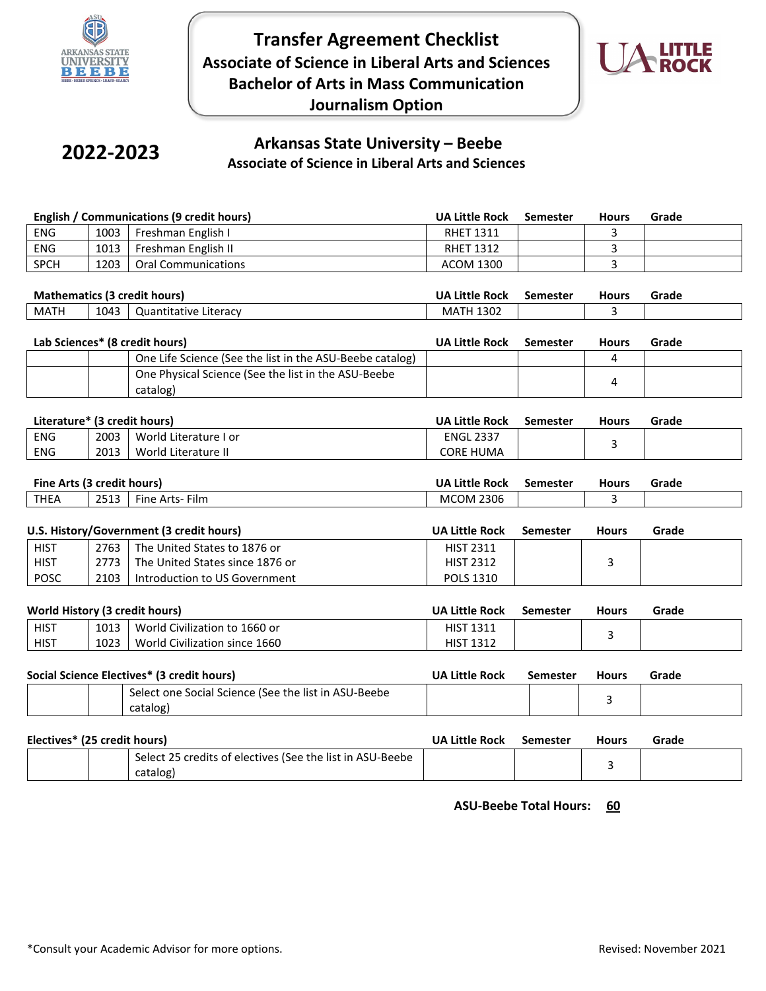

**Transfer Agreement Checklist Associate of Science in Liberal Arts and Sciences Bachelor of Arts in Mass Communication Journalism Option**



# **2022-2023**

## **Arkansas State University – Beebe Associate of Science in Liberal Arts and Sciences**

|             | English / Communications (9 credit hours)<br><b>UA Little Rock</b><br><b>Hours</b><br><b>Semester</b> |                     | Grade            |  |  |
|-------------|-------------------------------------------------------------------------------------------------------|---------------------|------------------|--|--|
| <b>ENG</b>  | 1003                                                                                                  | Freshman English I  | <b>RHET 1311</b> |  |  |
| <b>ENG</b>  | 1013                                                                                                  | Freshman English II | <b>RHET 1312</b> |  |  |
| <b>SPCH</b> | 1203                                                                                                  | Oral Communications | ACOM 1300        |  |  |

| <b>Mathematics (3)</b><br>credit hours) ا |      | <b>UA Little</b><br>Rock | Semester                | Hours | Grade |  |
|-------------------------------------------|------|--------------------------|-------------------------|-------|-------|--|
| MATH                                      | 1043 | Literacv<br>Quantitative | 1302<br>MA <sup>-</sup> |       |       |  |

| Lab Sciences* (8 credit hours) |                                                                 | UA Little Rock | Semester | <b>Hours</b> | Grade |
|--------------------------------|-----------------------------------------------------------------|----------------|----------|--------------|-------|
|                                | One Life Science (See the list in the ASU-Beebe catalog)        |                |          |              |       |
|                                | One Physical Science (See the list in the ASU-Beebe<br>catalog) |                |          |              |       |

| Literature* (3 credit hours) |      |                       | <b>UA Little Rock</b> | Semester | <b>Hours</b> | Grade |
|------------------------------|------|-----------------------|-----------------------|----------|--------------|-------|
| <b>ENG</b>                   | 2003 | World Literature I or | <b>ENGL 2337</b>      |          |              |       |
| <b>ENG</b>                   | 2013 | World Literature II   | <b>CORE HUMA</b>      |          |              |       |

| Fine Arts (3 credit hours) |              |                    | <b>UA Little Rock</b> | Semester | Hours | Grade |
|----------------------------|--------------|--------------------|-----------------------|----------|-------|-------|
| <b>THEA</b>                | 2512<br>2513 | Film<br>Fine Arts- | 2306<br><b>MCOM</b>   |          |       |       |

|             | U.S. History/Government (3 credit hours)<br><b>UA Little Rock</b><br>Semester<br><b>Hours</b> |                                 | Grade            |  |  |
|-------------|-----------------------------------------------------------------------------------------------|---------------------------------|------------------|--|--|
| <b>HIST</b> | 2763                                                                                          | The United States to 1876 or    | <b>HIST 2311</b> |  |  |
| <b>HIST</b> | 2773 L                                                                                        | The United States since 1876 or | <b>HIST 2312</b> |  |  |
| <b>POSC</b> | 2103                                                                                          | Introduction to US Government   | <b>POLS 1310</b> |  |  |

|             | World History (3 credit hours)<br><b>UA Little Rock</b><br><b>Hours</b><br>Semester |                               | Grade            |  |  |
|-------------|-------------------------------------------------------------------------------------|-------------------------------|------------------|--|--|
| <b>HIST</b> | 1013                                                                                | World Civilization to 1660 or | <b>HIST 1311</b> |  |  |
| <b>HIST</b> | 1023                                                                                | World Civilization since 1660 | <b>HIST 1312</b> |  |  |

| Social Science Electives* (3 credit hours)           | <b>UA Little Rock</b> | Semester | <b>Hours</b> | Grade |
|------------------------------------------------------|-----------------------|----------|--------------|-------|
| Select one Social Science (See the list in ASU-Beebe |                       |          |              |       |
| catalog)                                             |                       |          |              |       |

| Electives* (25 credit hours)                              | <b>UA Little Rock</b> | Semester | <b>Hours</b> | Grade |
|-----------------------------------------------------------|-----------------------|----------|--------------|-------|
| Select 25 credits of electives (See the list in ASU-Beebe |                       |          |              |       |
| catalog)                                                  |                       |          |              |       |

**ASU-Beebe Total Hours: 60**